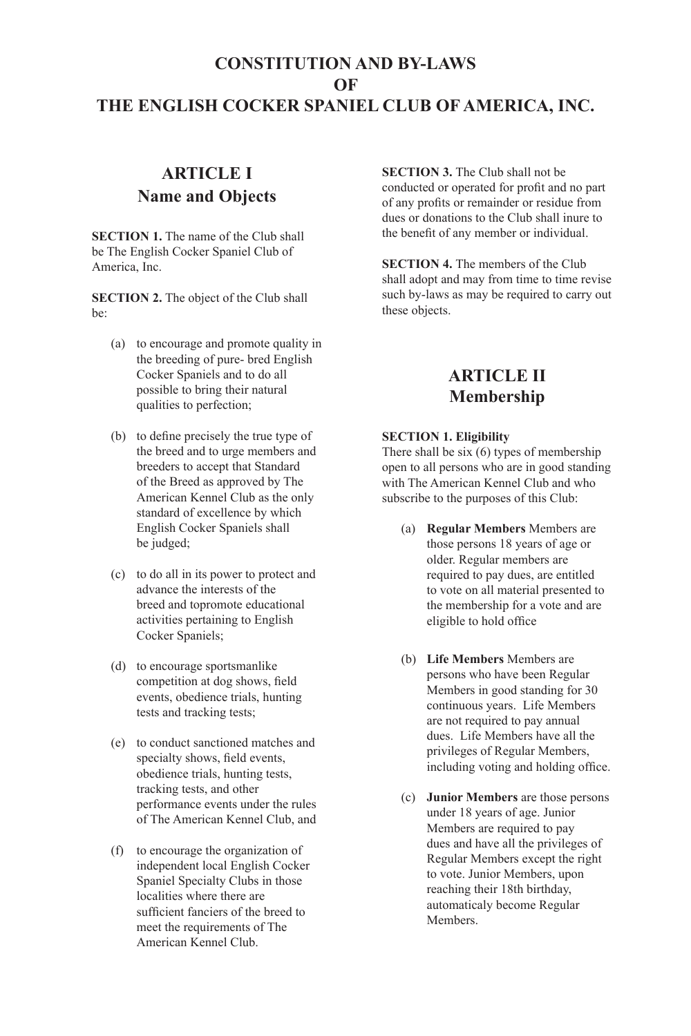# **CONSTITUTION AND BY-LAWS OF THE ENGLISH COCKER SPANIEL CLUB OF AMERICA, INC.**

# **ARTICLE I Name and Objects**

**SECTION 1.** The name of the Club shall be The English Cocker Spaniel Club of America, Inc.

**SECTION 2.** The object of the Club shall be:

- (a) to encourage and promote quality in the breeding of pure- bred English Cocker Spaniels and to do all possible to bring their natural qualities to perfection;
- (b) to define precisely the true type of the breed and to urge members and breeders to accept that Standard of the Breed as approved by The American Kennel Club as the only standard of excellence by which English Cocker Spaniels shall be judged;
- (c) to do all in its power to protect and advance the interests of the breed and topromote educational activities pertaining to English Cocker Spaniels;
- (d) to encourage sportsmanlike competition at dog shows, feld events, obedience trials, hunting tests and tracking tests;
- (e) to conduct sanctioned matches and specialty shows, feld events, obedience trials, hunting tests, tracking tests, and other performance events under the rules of The American Kennel Club, and
- (f) to encourage the organization of independent local English Cocker Spaniel Specialty Clubs in those localities where there are sufficient fanciers of the breed to meet the requirements of The American Kennel Club.

**SECTION 3.** The Club shall not be conducted or operated for proft and no part of any profts or remainder or residue from dues or donations to the Club shall inure to the beneft of any member or individual.

**SECTION 4.** The members of the Club shall adopt and may from time to time revise such by-laws as may be required to carry out these objects.

## **ARTICLE II Membership**

### **SECTION 1. Eligibility**

There shall be six (6) types of membership open to all persons who are in good standing with The American Kennel Club and who subscribe to the purposes of this Club:

- (a) **Regular Members** Members are those persons 18 years of age or older. Regular members are required to pay dues, are entitled to vote on all material presented to the membership for a vote and are eligible to hold office
- (b) **Life Members** Members are persons who have been Regular Members in good standing for 30 continuous years. Life Members are not required to pay annual dues. Life Members have all the privileges of Regular Members, including voting and holding office.
- (c) **Junior Members** are those persons under 18 years of age. Junior Members are required to pay dues and have all the privileges of Regular Members except the right to vote. Junior Members, upon reaching their 18th birthday, automaticaly become Regular **Members**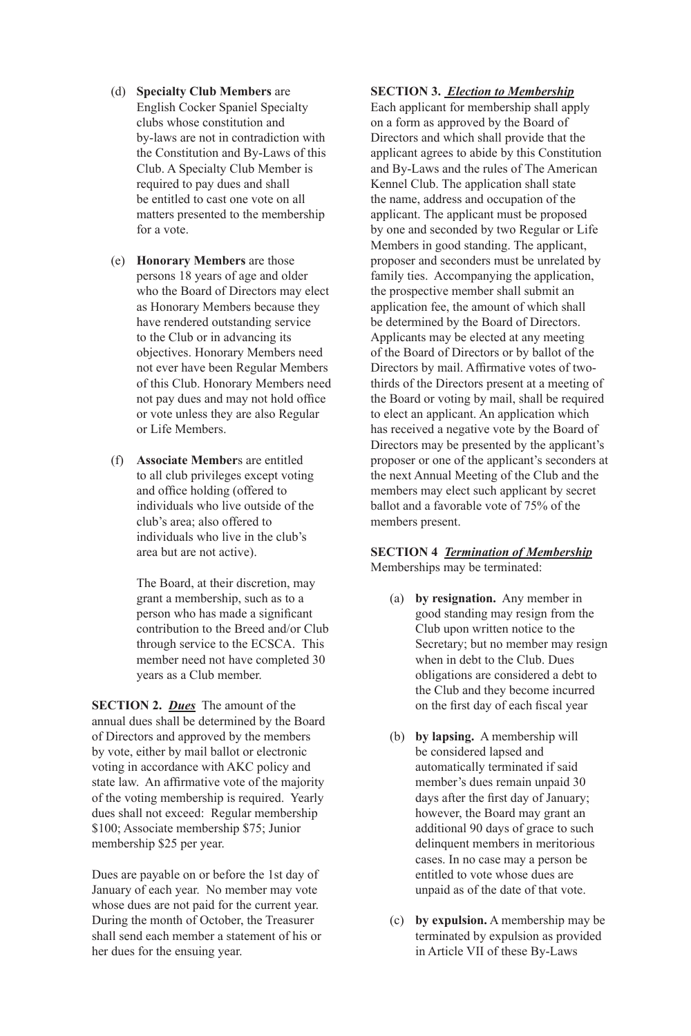#### (d) **Specialty Club Members** are

- English Cocker Spaniel Specialty clubs whose constitution and by-laws are not in contradiction with the Constitution and By-Laws of this Club. A Specialty Club Member is required to pay dues and shall be entitled to cast one vote on all matters presented to the membership for a vote.
- (e) **Honorary Members** are those persons 18 years of age and older who the Board of Directors may elect as Honorary Members because they have rendered outstanding service to the Club or in advancing its objectives. Honorary Members need not ever have been Regular Members of this Club. Honorary Members need not pay dues and may not hold office or vote unless they are also Regular or Life Members.
- (f) **Associate Member**s are entitled to all club privileges except voting and office holding (offered to individuals who live outside of the club's area; also offered to individuals who live in the club's area but are not active).

 The Board, at their discretion, may grant a membership, such as to a person who has made a signifcant contribution to the Breed and/or Club through service to the ECSCA. This member need not have completed 30 years as a Club member.

**SECTION 2.** *Dues* The amount of the annual dues shall be determined by the Board of Directors and approved by the members by vote, either by mail ballot or electronic voting in accordance with AKC policy and state law. An affirmative vote of the majority of the voting membership is required. Yearly dues shall not exceed: Regular membership \$100; Associate membership \$75; Junior membership \$25 per year.

Dues are payable on or before the 1st day of January of each year. No member may vote whose dues are not paid for the current year. During the month of October, the Treasurer shall send each member a statement of his or her dues for the ensuing year.

#### **SECTION 3.** *Election to Membership*

Each applicant for membership shall apply on a form as approved by the Board of Directors and which shall provide that the applicant agrees to abide by this Constitution and By-Laws and the rules of The American Kennel Club. The application shall state the name, address and occupation of the applicant. The applicant must be proposed by one and seconded by two Regular or Life Members in good standing. The applicant, proposer and seconders must be unrelated by family ties. Accompanying the application, the prospective member shall submit an application fee, the amount of which shall be determined by the Board of Directors. Applicants may be elected at any meeting of the Board of Directors or by ballot of the Directors by mail. Affrmative votes of twothirds of the Directors present at a meeting of the Board or voting by mail, shall be required to elect an applicant. An application which has received a negative vote by the Board of Directors may be presented by the applicant's proposer or one of the applicant's seconders at the next Annual Meeting of the Club and the members may elect such applicant by secret ballot and a favorable vote of 75% of the members present.

# **SECTION 4** *Termination of Membership*

Memberships may be terminated:

- (a) **by resignation.** Any member in good standing may resign from the Club upon written notice to the Secretary; but no member may resign when in debt to the Club. Dues obligations are considered a debt to the Club and they become incurred on the frst day of each fscal year
- (b) **by lapsing.** A membership will be considered lapsed and automatically terminated if said member's dues remain unpaid 30 days after the frst day of January; however, the Board may grant an additional 90 days of grace to such delinquent members in meritorious cases. In no case may a person be entitled to vote whose dues are unpaid as of the date of that vote.
- (c) **by expulsion.** A membership may be terminated by expulsion as provided in Article VII of these By-Laws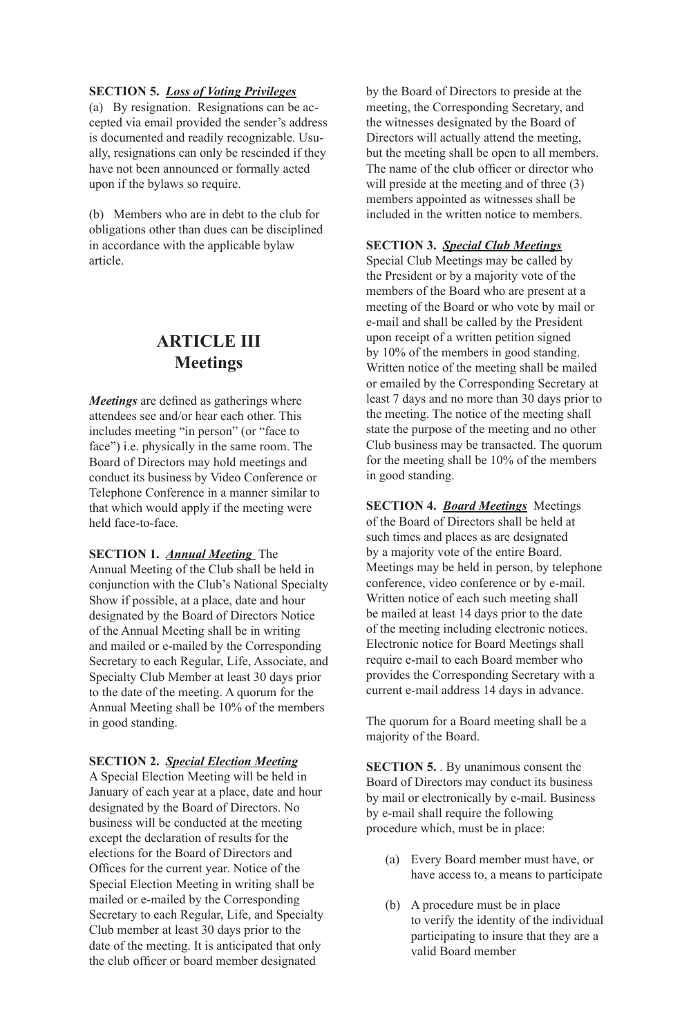### **SECTION 5.** *Loss of Voting Privileges*

(a) By resignation. Resignations can be accepted via email provided the sender's address is documented and readily recognizable. Usually, resignations can only be rescinded if they have not been announced or formally acted upon if the bylaws so require.

(b) Members who are in debt to the club for obligations other than dues can be disciplined in accordance with the applicable bylaw article.

### **ARTICLE III Meetings**

*Meetings* are defned as gatherings where attendees see and/or hear each other. This includes meeting "in person" (or "face to face") i.e. physically in the same room. The Board of Directors may hold meetings and conduct its business by Video Conference or Telephone Conference in a manner similar to that which would apply if the meeting were held face-to-face.

### **SECTION 1.** *Annual Meeting* The

Annual Meeting of the Club shall be held in conjunction with the Club's National Specialty Show if possible, at a place, date and hour designated by the Board of Directors Notice of the Annual Meeting shall be in writing and mailed or e-mailed by the Corresponding Secretary to each Regular, Life, Associate, and Specialty Club Member at least 30 days prior to the date of the meeting. A quorum for the Annual Meeting shall be 10% of the members in good standing.

#### **SECTION 2.** *Special Election Meeting*

A Special Election Meeting will be held in January of each year at a place, date and hour designated by the Board of Directors. No business will be conducted at the meeting except the declaration of results for the elections for the Board of Directors and Offices for the current year. Notice of the Special Election Meeting in writing shall be mailed or e-mailed by the Corresponding Secretary to each Regular, Life, and Specialty Club member at least 30 days prior to the date of the meeting. It is anticipated that only the club officer or board member designated

by the Board of Directors to preside at the meeting, the Corresponding Secretary, and the witnesses designated by the Board of Directors will actually attend the meeting, but the meeting shall be open to all members. The name of the club officer or director who will preside at the meeting and of three  $(3)$ members appointed as witnesses shall be included in the written notice to members.

#### **SECTION 3.** *Special Club Meetings*

Special Club Meetings may be called by the President or by a majority vote of the members of the Board who are present at a meeting of the Board or who vote by mail or e-mail and shall be called by the President upon receipt of a written petition signed by 10% of the members in good standing. Written notice of the meeting shall be mailed or emailed by the Corresponding Secretary at least 7 days and no more than 30 days prior to the meeting. The notice of the meeting shall state the purpose of the meeting and no other Club business may be transacted. The quorum for the meeting shall be 10% of the members in good standing.

**SECTION 4.** *Board Meetings* Meetings of the Board of Directors shall be held at such times and places as are designated by a majority vote of the entire Board. Meetings may be held in person, by telephone conference, video conference or by e-mail. Written notice of each such meeting shall be mailed at least 14 days prior to the date of the meeting including electronic notices. Electronic notice for Board Meetings shall require e-mail to each Board member who provides the Corresponding Secretary with a current e-mail address 14 days in advance.

The quorum for a Board meeting shall be a majority of the Board.

**SECTION 5.** By unanimous consent the Board of Directors may conduct its business by mail or electronically by e-mail. Business by e-mail shall require the following procedure which, must be in place:

- (a) Every Board member must have, or have access to, a means to participate
- (b) A procedure must be in place to verify the identity of the individual participating to insure that they are a valid Board member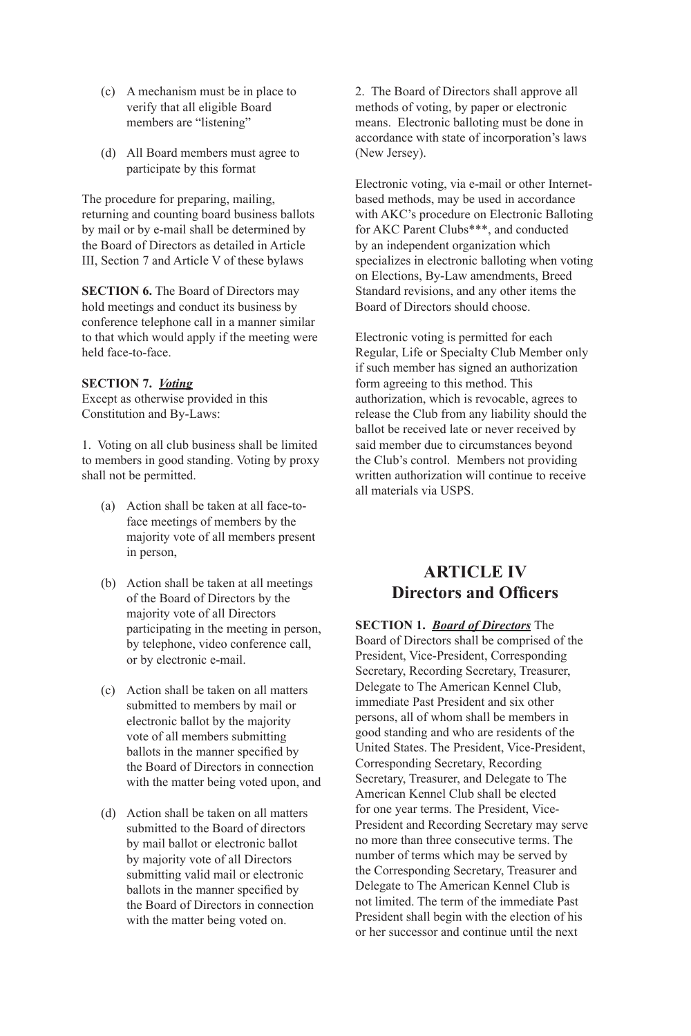- (c) A mechanism must be in place to verify that all eligible Board members are "listening"
- (d) All Board members must agree to participate by this format

The procedure for preparing, mailing, returning and counting board business ballots by mail or by e-mail shall be determined by the Board of Directors as detailed in Article III, Section 7 and Article V of these bylaws

**SECTION 6.** The Board of Directors may hold meetings and conduct its business by conference telephone call in a manner similar to that which would apply if the meeting were held face-to-face.

#### **SECTION 7.** *Voting*

Except as otherwise provided in this Constitution and By-Laws:

1. Voting on all club business shall be limited to members in good standing. Voting by proxy shall not be permitted.

- (a) Action shall be taken at all face-to face meetings of members by the majority vote of all members present in person,
- (b) Action shall be taken at all meetings of the Board of Directors by the majority vote of all Directors participating in the meeting in person, by telephone, video conference call, or by electronic e-mail.
- (c) Action shall be taken on all matters submitted to members by mail or electronic ballot by the majority vote of all members submitting ballots in the manner specifed by the Board of Directors in connection with the matter being voted upon, and
- (d) Action shall be taken on all matters submitted to the Board of directors by mail ballot or electronic ballot by majority vote of all Directors submitting valid mail or electronic ballots in the manner specifed by the Board of Directors in connection with the matter being voted on.

2. The Board of Directors shall approve all methods of voting, by paper or electronic means. Electronic balloting must be done in accordance with state of incorporation's laws (New Jersey).

Electronic voting, via e-mail or other Internetbased methods, may be used in accordance with AKC's procedure on Electronic Balloting for AKC Parent Clubs\*\*\*, and conducted by an independent organization which specializes in electronic balloting when voting on Elections, By-Law amendments, Breed Standard revisions, and any other items the Board of Directors should choose.

Electronic voting is permitted for each Regular, Life or Specialty Club Member only if such member has signed an authorization form agreeing to this method. This authorization, which is revocable, agrees to release the Club from any liability should the ballot be received late or never received by said member due to circumstances beyond the Club's control. Members not providing written authorization will continue to receive all materials via USPS.

### **ARTICLE IV Directors and Officers**

**SECTION 1.** *Board of Directors* The Board of Directors shall be comprised of the President, Vice-President, Corresponding Secretary, Recording Secretary, Treasurer, Delegate to The American Kennel Club, immediate Past President and six other persons, all of whom shall be members in good standing and who are residents of the United States. The President, Vice-President, Corresponding Secretary, Recording Secretary, Treasurer, and Delegate to The American Kennel Club shall be elected for one year terms. The President, Vice-President and Recording Secretary may serve no more than three consecutive terms. The number of terms which may be served by the Corresponding Secretary, Treasurer and Delegate to The American Kennel Club is not limited. The term of the immediate Past President shall begin with the election of his or her successor and continue until the next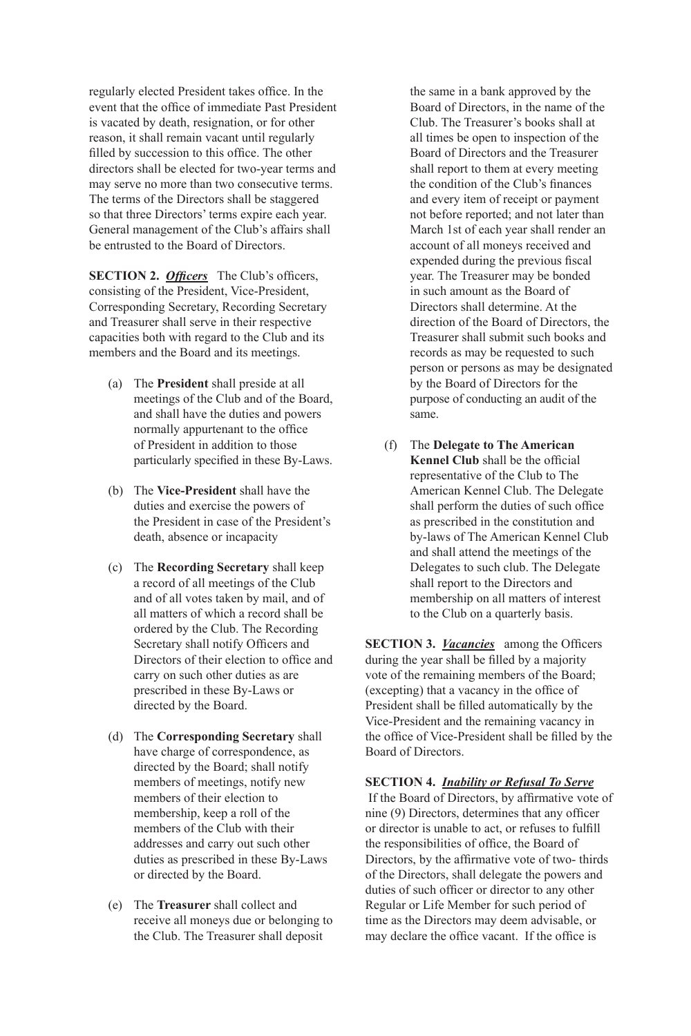regularly elected President takes office. In the event that the office of immediate Past President is vacated by death, resignation, or for other reason, it shall remain vacant until regularly filled by succession to this office. The other directors shall be elected for two-year terms and may serve no more than two consecutive terms. The terms of the Directors shall be staggered so that three Directors' terms expire each year. General management of the Club's affairs shall be entrusted to the Board of Directors.

**SECTION 2.** *Officers* The Club's officers, consisting of the President, Vice-President, Corresponding Secretary, Recording Secretary and Treasurer shall serve in their respective capacities both with regard to the Club and its members and the Board and its meetings.

- (a) The **President** shall preside at all meetings of the Club and of the Board, and shall have the duties and powers normally appurtenant to the office of President in addition to those particularly specifed in these By-Laws.
- (b) The **Vice-President** shall have the duties and exercise the powers of the President in case of the President's death, absence or incapacity
- (c) The **Recording Secretary** shall keep a record of all meetings of the Club and of all votes taken by mail, and of all matters of which a record shall be ordered by the Club. The Recording Secretary shall notify Officers and Directors of their election to office and carry on such other duties as are prescribed in these By-Laws or directed by the Board.
- (d) The **Corresponding Secretary** shall have charge of correspondence, as directed by the Board; shall notify members of meetings, notify new members of their election to membership, keep a roll of the members of the Club with their addresses and carry out such other duties as prescribed in these By-Laws or directed by the Board.
- (e) The **Treasurer** shall collect and receive all moneys due or belonging to the Club. The Treasurer shall deposit

 the same in a bank approved by the Board of Directors, in the name of the Club. The Treasurer's books shall at all times be open to inspection of the Board of Directors and the Treasurer shall report to them at every meeting the condition of the Club's fnances and every item of receipt or payment not before reported; and not later than March 1st of each year shall render an account of all moneys received and expended during the previous fscal year. The Treasurer may be bonded in such amount as the Board of Directors shall determine. At the direction of the Board of Directors, the Treasurer shall submit such books and records as may be requested to such person or persons as may be designated by the Board of Directors for the purpose of conducting an audit of the same.

(f) The **Delegate to The American Kennel Club** shall be the official representative of the Club to The American Kennel Club. The Delegate shall perform the duties of such office as prescribed in the constitution and by-laws of The American Kennel Club and shall attend the meetings of the Delegates to such club. The Delegate shall report to the Directors and membership on all matters of interest to the Club on a quarterly basis.

**SECTION 3.** *<u>Vacancies</u>* among the Officers during the year shall be filled by a majority vote of the remaining members of the Board; (excepting) that a vacancy in the office of President shall be flled automatically by the Vice-President and the remaining vacancy in the office of Vice-President shall be filled by the Board of Directors.

**SECTION 4.** *Inability or Refusal To Serve*

If the Board of Directors, by affrmative vote of nine (9) Directors, determines that any officer or director is unable to act, or refuses to fulfll the responsibilities of office, the Board of Directors, by the affrmative vote of two- thirds of the Directors, shall delegate the powers and duties of such officer or director to any other Regular or Life Member for such period of time as the Directors may deem advisable, or may declare the office vacant. If the office is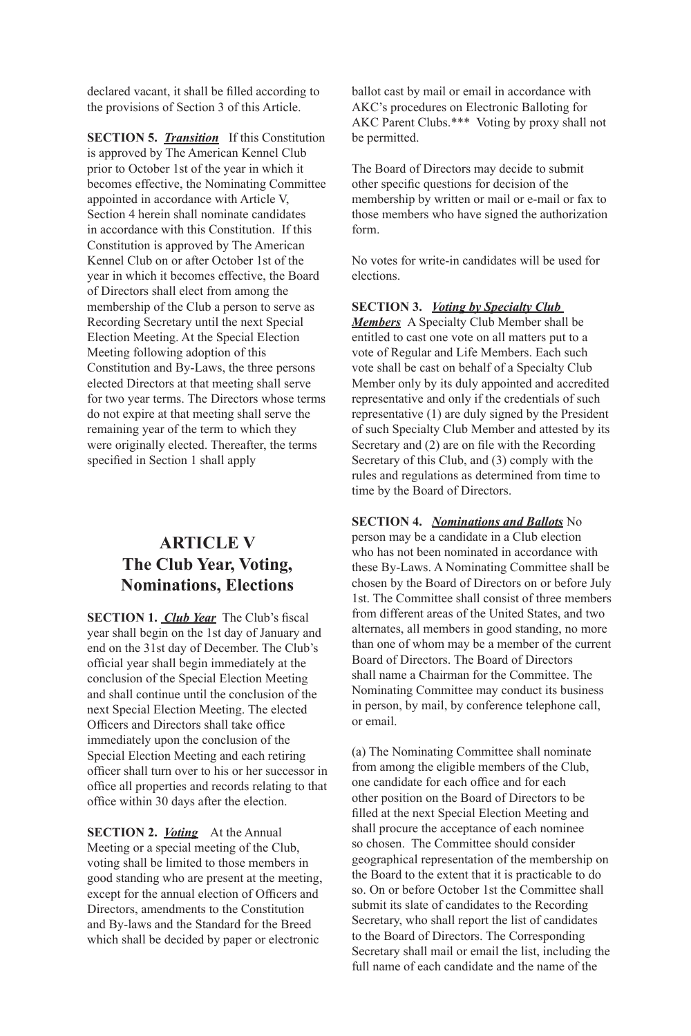declared vacant, it shall be flled according to the provisions of Section 3 of this Article.

**SECTION 5.** *Transition* If this Constitution is approved by The American Kennel Club prior to October 1st of the year in which it becomes effective, the Nominating Committee appointed in accordance with Article V, Section 4 herein shall nominate candidates in accordance with this Constitution. If this Constitution is approved by The American Kennel Club on or after October 1st of the year in which it becomes effective, the Board of Directors shall elect from among the membership of the Club a person to serve as Recording Secretary until the next Special Election Meeting. At the Special Election Meeting following adoption of this Constitution and By-Laws, the three persons elected Directors at that meeting shall serve for two year terms. The Directors whose terms do not expire at that meeting shall serve the remaining year of the term to which they were originally elected. Thereafter, the terms specifed in Section 1 shall apply

## **ARTICLE V The Club Year, Voting, Nominations, Elections**

**SECTION 1.** *Club Year* The Club's fiscal year shall begin on the 1st day of January and end on the 31st day of December. The Club's offcial year shall begin immediately at the conclusion of the Special Election Meeting and shall continue until the conclusion of the next Special Election Meeting. The elected Officers and Directors shall take office immediately upon the conclusion of the Special Election Meeting and each retiring offcer shall turn over to his or her successor in offce all properties and records relating to that office within 30 days after the election.

**SECTION 2.** *<u>Voting</u>* At the Annual Meeting or a special meeting of the Club, voting shall be limited to those members in good standing who are present at the meeting, except for the annual election of Officers and Directors, amendments to the Constitution and By-laws and the Standard for the Breed which shall be decided by paper or electronic

ballot cast by mail or email in accordance with AKC's procedures on Electronic Balloting for AKC Parent Clubs.\*\*\* Voting by proxy shall not be permitted.

The Board of Directors may decide to submit other specifc questions for decision of the membership by written or mail or e-mail or fax to those members who have signed the authorization form.

No votes for write-in candidates will be used for elections.

#### **SECTION 3.** *Voting by Specialty Club*

*Members* A Specialty Club Member shall be entitled to cast one vote on all matters put to a vote of Regular and Life Members. Each such vote shall be cast on behalf of a Specialty Club Member only by its duly appointed and accredited representative and only if the credentials of such representative (1) are duly signed by the President of such Specialty Club Member and attested by its Secretary and (2) are on fle with the Recording Secretary of this Club, and (3) comply with the rules and regulations as determined from time to time by the Board of Directors.

**SECTION 4.** *Nominations and Ballots* No person may be a candidate in a Club election who has not been nominated in accordance with these By-Laws. A Nominating Committee shall be chosen by the Board of Directors on or before July 1st. The Committee shall consist of three members from different areas of the United States, and two alternates, all members in good standing, no more than one of whom may be a member of the current Board of Directors. The Board of Directors shall name a Chairman for the Committee. The Nominating Committee may conduct its business in person, by mail, by conference telephone call, or email.

(a) The Nominating Committee shall nominate from among the eligible members of the Club, one candidate for each office and for each other position on the Board of Directors to be flled at the next Special Election Meeting and shall procure the acceptance of each nominee so chosen. The Committee should consider geographical representation of the membership on the Board to the extent that it is practicable to do so. On or before October 1st the Committee shall submit its slate of candidates to the Recording Secretary, who shall report the list of candidates to the Board of Directors. The Corresponding Secretary shall mail or email the list, including the full name of each candidate and the name of the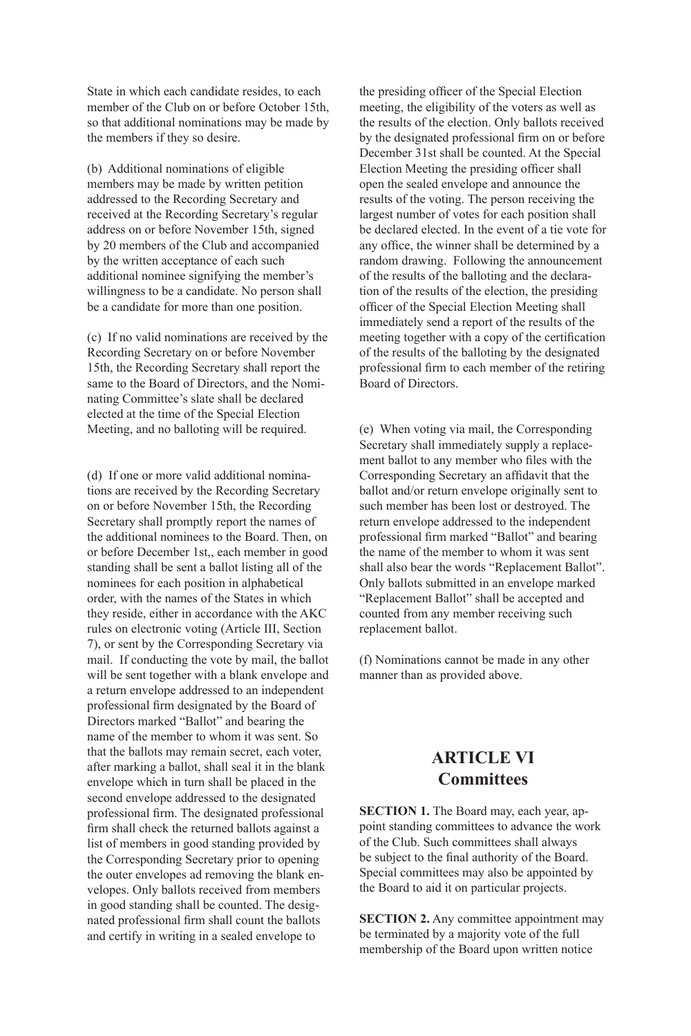State in which each candidate resides, to each member of the Club on or before October 15th, so that additional nominations may be made by the members if they so desire.

(b) Additional nominations of eligible members may be made by written petition addressed to the Recording Secretary and received at the Recording Secretary's regular address on or before November 15th, signed by 20 members of the Club and accompanied by the written acceptance of each such additional nominee signifying the member's willingness to be a candidate. No person shall be a candidate for more than one position.

(c) If no valid nominations are received by the Recording Secretary on or before November 15th, the Recording Secretary shall report the same to the Board of Directors, and the Nominating Committee's slate shall be declared elected at the time of the Special Election Meeting, and no balloting will be required.

(d) If one or more valid additional nominations are received by the Recording Secretary on or before November 15th, the Recording Secretary shall promptly report the names of the additional nominees to the Board. Then, on or before December 1st,, each member in good standing shall be sent a ballot listing all of the nominees for each position in alphabetical order, with the names of the States in which they reside, either in accordance with the AKC rules on electronic voting (Article III, Section 7), or sent by the Corresponding Secretary via mail. If conducting the vote by mail, the ballot will be sent together with a blank envelope and a return envelope addressed to an independent professional frm designated by the Board of Directors marked "Ballot" and bearing the name of the member to whom it was sent. So that the ballots may remain secret, each voter, after marking a ballot, shall seal it in the blank envelope which in turn shall be placed in the second envelope addressed to the designated professional frm. The designated professional frm shall check the returned ballots against a list of members in good standing provided by the Corresponding Secretary prior to opening the outer envelopes ad removing the blank envelopes. Only ballots received from members in good standing shall be counted. The designated professional frm shall count the ballots and certify in writing in a sealed envelope to

the presiding officer of the Special Election meeting, the eligibility of the voters as well as the results of the election. Only ballots received by the designated professional frm on or before December 31st shall be counted. At the Special Election Meeting the presiding officer shall open the sealed envelope and announce the results of the voting. The person receiving the largest number of votes for each position shall be declared elected. In the event of a tie vote for any office, the winner shall be determined by a random drawing. Following the announcement of the results of the balloting and the declaration of the results of the election, the presiding officer of the Special Election Meeting shall immediately send a report of the results of the meeting together with a copy of the certifcation of the results of the balloting by the designated professional frm to each member of the retiring Board of Directors.

(e) When voting via mail, the Corresponding Secretary shall immediately supply a replacement ballot to any member who fles with the Corresponding Secretary an affdavit that the ballot and/or return envelope originally sent to such member has been lost or destroyed. The return envelope addressed to the independent professional frm marked "Ballot" and bearing the name of the member to whom it was sent shall also bear the words "Replacement Ballot". Only ballots submitted in an envelope marked "Replacement Ballot" shall be accepted and counted from any member receiving such replacement ballot.

(f) Nominations cannot be made in any other manner than as provided above.

### **ARTICLE VI Committees**

**SECTION 1.** The Board may, each year, appoint standing committees to advance the work of the Club. Such committees shall always be subject to the fnal authority of the Board. Special committees may also be appointed by the Board to aid it on particular projects.

**SECTION 2.** Any committee appointment may be terminated by a majority vote of the full membership of the Board upon written notice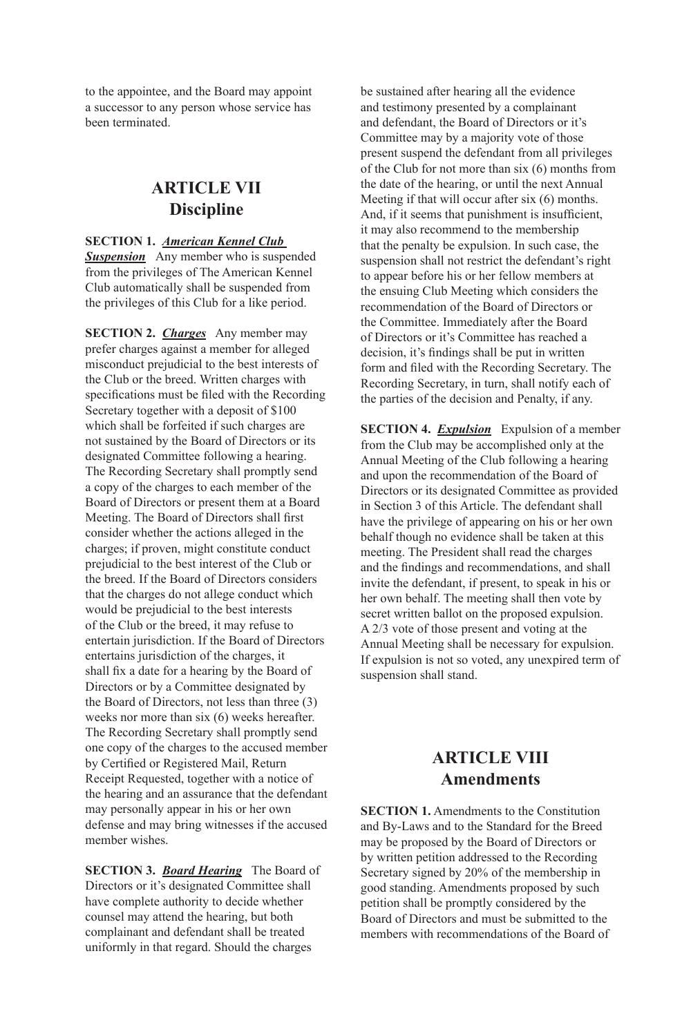to the appointee, and the Board may appoint a successor to any person whose service has been terminated.

### **ARTICLE VII Discipline**

#### **SECTION 1.** *American Kennel Club*

**Suspension** Any member who is suspended from the privileges of The American Kennel Club automatically shall be suspended from the privileges of this Club for a like period.

**SECTION 2.** *Charges* Any member may prefer charges against a member for alleged misconduct prejudicial to the best interests of the Club or the breed. Written charges with specifcations must be fled with the Recording Secretary together with a deposit of \$100 which shall be forfeited if such charges are not sustained by the Board of Directors or its designated Committee following a hearing. The Recording Secretary shall promptly send a copy of the charges to each member of the Board of Directors or present them at a Board Meeting. The Board of Directors shall frst consider whether the actions alleged in the charges; if proven, might constitute conduct prejudicial to the best interest of the Club or the breed. If the Board of Directors considers that the charges do not allege conduct which would be prejudicial to the best interests of the Club or the breed, it may refuse to entertain jurisdiction. If the Board of Directors entertains jurisdiction of the charges, it shall fx a date for a hearing by the Board of Directors or by a Committee designated by the Board of Directors, not less than three (3) weeks nor more than six (6) weeks hereafter. The Recording Secretary shall promptly send one copy of the charges to the accused member by Certifed or Registered Mail, Return Receipt Requested, together with a notice of the hearing and an assurance that the defendant may personally appear in his or her own defense and may bring witnesses if the accused member wishes.

**SECTION 3.** *Board Hearing* The Board of Directors or it's designated Committee shall have complete authority to decide whether counsel may attend the hearing, but both complainant and defendant shall be treated uniformly in that regard. Should the charges

be sustained after hearing all the evidence and testimony presented by a complainant and defendant, the Board of Directors or it's Committee may by a majority vote of those present suspend the defendant from all privileges of the Club for not more than six (6) months from the date of the hearing, or until the next Annual Meeting if that will occur after six (6) months. And, if it seems that punishment is insufficient, it may also recommend to the membership that the penalty be expulsion. In such case, the suspension shall not restrict the defendant's right to appear before his or her fellow members at the ensuing Club Meeting which considers the recommendation of the Board of Directors or the Committee. Immediately after the Board of Directors or it's Committee has reached a decision, it's fndings shall be put in written form and fled with the Recording Secretary. The Recording Secretary, in turn, shall notify each of the parties of the decision and Penalty, if any.

**SECTION 4.** *Expulsion* Expulsion of a member from the Club may be accomplished only at the Annual Meeting of the Club following a hearing and upon the recommendation of the Board of Directors or its designated Committee as provided in Section 3 of this Article. The defendant shall have the privilege of appearing on his or her own behalf though no evidence shall be taken at this meeting. The President shall read the charges and the fndings and recommendations, and shall invite the defendant, if present, to speak in his or her own behalf. The meeting shall then vote by secret written ballot on the proposed expulsion. A 2/3 vote of those present and voting at the Annual Meeting shall be necessary for expulsion. If expulsion is not so voted, any unexpired term of suspension shall stand.

### **ARTICLE VIII Amendments**

**SECTION 1.** Amendments to the Constitution and By-Laws and to the Standard for the Breed may be proposed by the Board of Directors or by written petition addressed to the Recording Secretary signed by 20% of the membership in good standing. Amendments proposed by such petition shall be promptly considered by the Board of Directors and must be submitted to the members with recommendations of the Board of